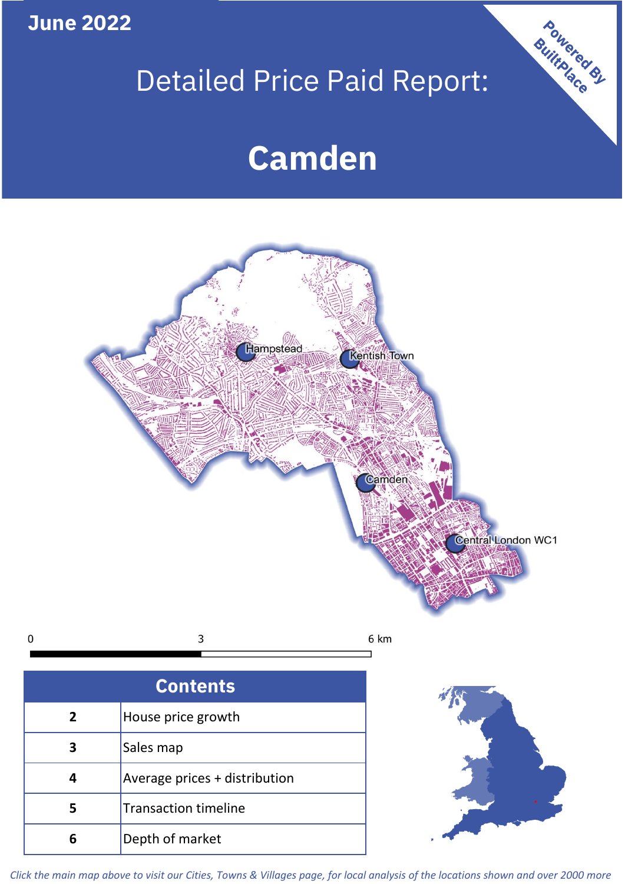**June 2022**

# Detailed Price Paid Report:

Powered By

# **Camden**



*Click the main map above to visit our Cities, Towns & Villages page, for local analysis of the locations shown and over 2000 more*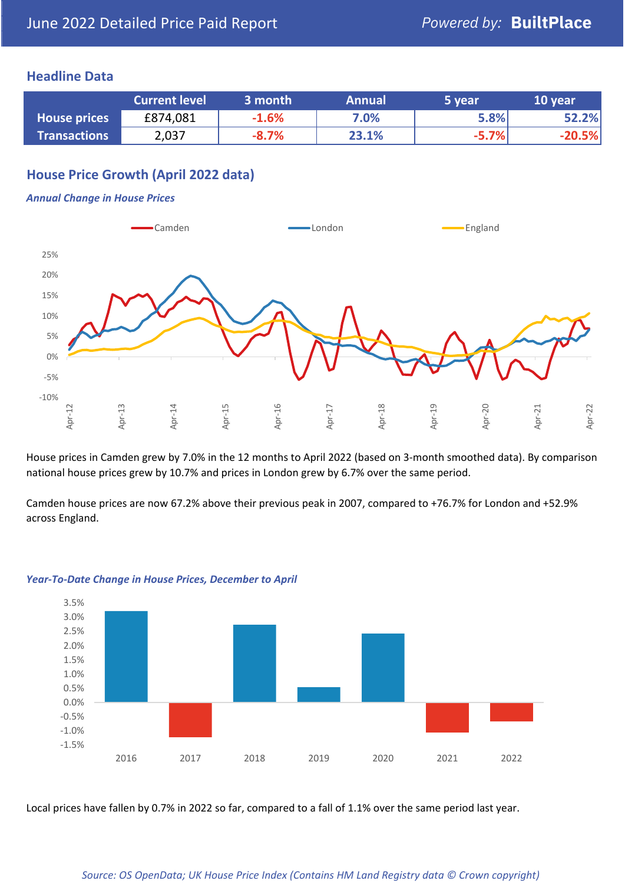#### **Headline Data**

|                     | <b>Current level</b> | 3 month | <b>Annual</b> | 5 year  | 10 year  |
|---------------------|----------------------|---------|---------------|---------|----------|
| <b>House prices</b> | £874,081             | $-1.6%$ | 7.0%          | 5.8%    | 52.2%    |
| <b>Transactions</b> | 2,037                | $-8.7%$ | 23.1%         | $-5.7%$ | $-20.5%$ |

# **House Price Growth (April 2022 data)**

#### *Annual Change in House Prices*



House prices in Camden grew by 7.0% in the 12 months to April 2022 (based on 3-month smoothed data). By comparison national house prices grew by 10.7% and prices in London grew by 6.7% over the same period.

Camden house prices are now 67.2% above their previous peak in 2007, compared to +76.7% for London and +52.9% across England.



#### *Year-To-Date Change in House Prices, December to April*

Local prices have fallen by 0.7% in 2022 so far, compared to a fall of 1.1% over the same period last year.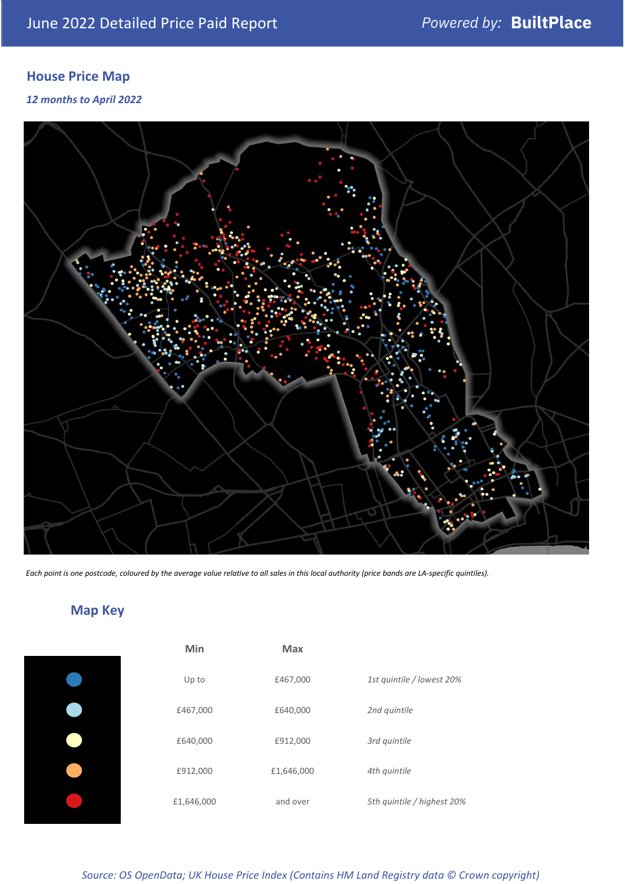# **House Price Map**

*12 months to April 2022*



*Each point is one postcode, coloured by the average value relative to all sales in this local authority (price bands are LA-specific quintiles).*

# **Map Key**

| Min        | <b>Max</b> |                            |
|------------|------------|----------------------------|
| Up to      | £467,000   | 1st quintile / lowest 20%  |
| £467,000   | £640,000   | 2nd quintile               |
| £640,000   | £912,000   | 3rd quintile               |
| £912,000   | £1,646,000 | 4th quintile               |
| £1,646,000 | and over   | 5th quintile / highest 20% |

*Source: OS OpenData; UK House Price Index (Contains HM Land Registry data © Crown copyright)*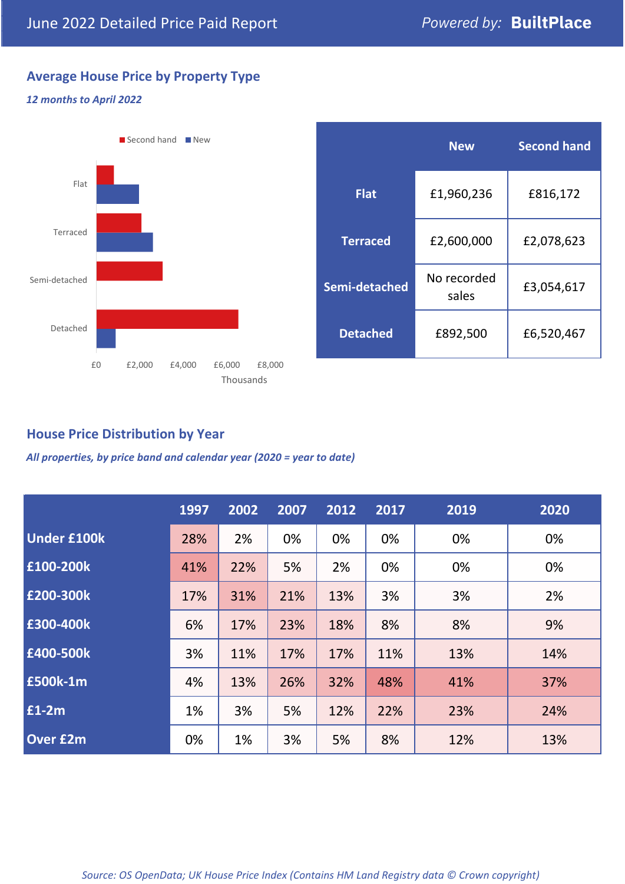# **Average House Price by Property Type**

#### *12 months to April 2022*



### **House Price Distribution by Year**

*All properties, by price band and calendar year (2020 = year to date)*

|                    | 1997 | 2002 | 2007 | 2012 | 2017 | 2019 | 2020 |
|--------------------|------|------|------|------|------|------|------|
| <b>Under £100k</b> | 28%  | 2%   | 0%   | 0%   | 0%   | 0%   | 0%   |
| £100-200k          | 41%  | 22%  | 5%   | 2%   | 0%   | 0%   | 0%   |
| E200-300k          | 17%  | 31%  | 21%  | 13%  | 3%   | 3%   | 2%   |
| £300-400k          | 6%   | 17%  | 23%  | 18%  | 8%   | 8%   | 9%   |
| £400-500k          | 3%   | 11%  | 17%  | 17%  | 11%  | 13%  | 14%  |
| <b>£500k-1m</b>    | 4%   | 13%  | 26%  | 32%  | 48%  | 41%  | 37%  |
| £1-2m              | 1%   | 3%   | 5%   | 12%  | 22%  | 23%  | 24%  |
| <b>Over £2m</b>    | 0%   | 1%   | 3%   | 5%   | 8%   | 12%  | 13%  |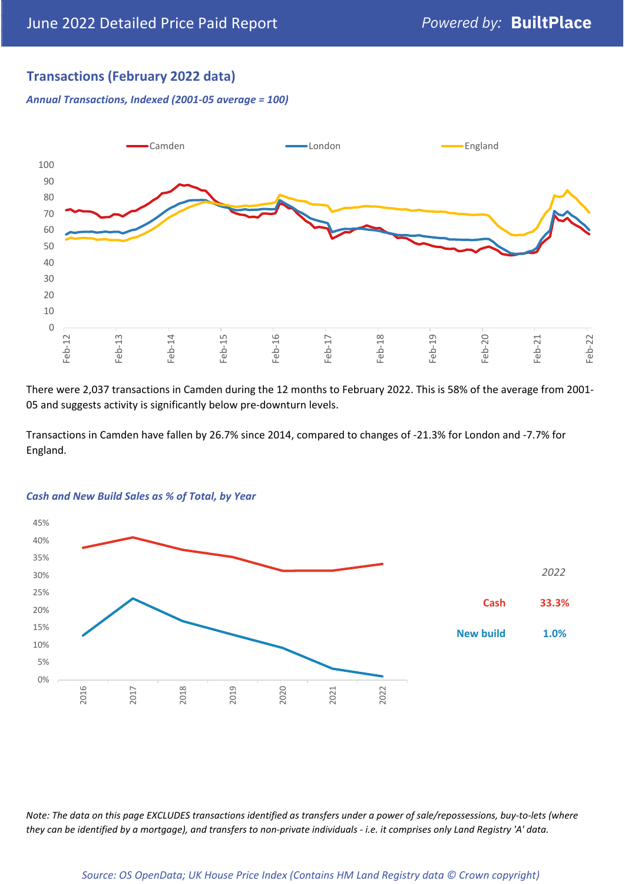# **Transactions (February 2022 data)**

*Annual Transactions, Indexed (2001-05 average = 100)*



There were 2,037 transactions in Camden during the 12 months to February 2022. This is 58% of the average from 2001- 05 and suggests activity is significantly below pre-downturn levels.

Transactions in Camden have fallen by 26.7% since 2014, compared to changes of -21.3% for London and -7.7% for England.



#### *Cash and New Build Sales as % of Total, by Year*

*Note: The data on this page EXCLUDES transactions identified as transfers under a power of sale/repossessions, buy-to-lets (where they can be identified by a mortgage), and transfers to non-private individuals - i.e. it comprises only Land Registry 'A' data.*